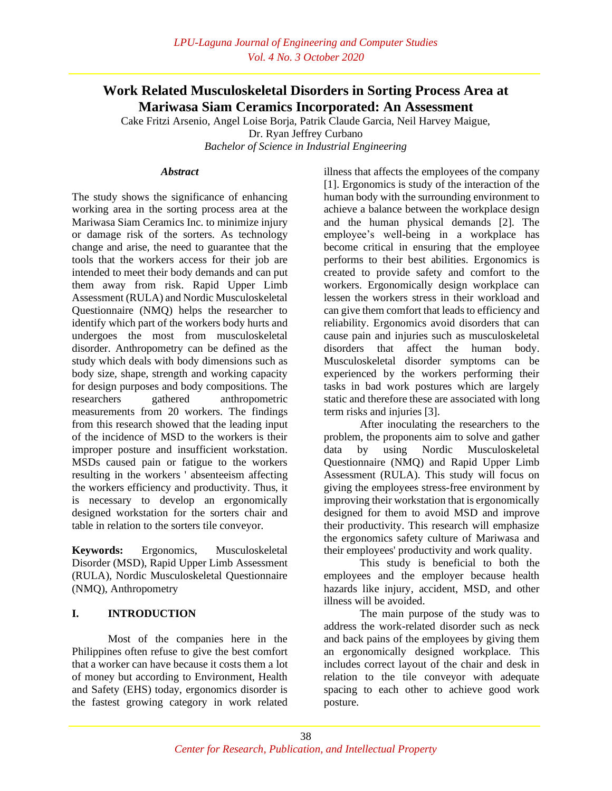# **Work Related Musculoskeletal Disorders in Sorting Process Area at Mariwasa Siam Ceramics Incorporated: An Assessment**

Cake Fritzi Arsenio, Angel Loise Borja, Patrik Claude Garcia, Neil Harvey Maigue, Dr. Ryan Jeffrey Curbano

*Bachelor of Science in Industrial Engineering*

#### *Abstract*

The study shows the significance of enhancing working area in the sorting process area at the Mariwasa Siam Ceramics Inc. to minimize injury or damage risk of the sorters. As technology change and arise, the need to guarantee that the tools that the workers access for their job are intended to meet their body demands and can put them away from risk. Rapid Upper Limb Assessment (RULA) and Nordic Musculoskeletal Questionnaire (NMQ) helps the researcher to identify which part of the workers body hurts and undergoes the most from musculoskeletal disorder. Anthropometry can be defined as the study which deals with body dimensions such as body size, shape, strength and working capacity for design purposes and body compositions. The researchers gathered anthropometric measurements from 20 workers. The findings from this research showed that the leading input of the incidence of MSD to the workers is their improper posture and insufficient workstation. MSDs caused pain or fatigue to the workers resulting in the workers ' absenteeism affecting the workers efficiency and productivity. Thus, it is necessary to develop an ergonomically designed workstation for the sorters chair and table in relation to the sorters tile conveyor.

**Keywords:** Ergonomics, Musculoskeletal Disorder (MSD), Rapid Upper Limb Assessment (RULA), Nordic Musculoskeletal Questionnaire (NMQ), Anthropometry

### **I. INTRODUCTION**

Most of the companies here in the Philippines often refuse to give the best comfort that a worker can have because it costs them a lot of money but according to Environment, Health and Safety (EHS) today, ergonomics disorder is the fastest growing category in work related

illness that affects the employees of the company [1]. Ergonomics is study of the interaction of the human body with the surrounding environment to achieve a balance between the workplace design and the human physical demands [2]. The employee's well-being in a workplace has become critical in ensuring that the employee performs to their best abilities. Ergonomics is created to provide safety and comfort to the workers. Ergonomically design workplace can lessen the workers stress in their workload and can give them comfort that leads to efficiency and reliability. Ergonomics avoid disorders that can cause pain and injuries such as musculoskeletal disorders that affect the human body. Musculoskeletal disorder symptoms can be experienced by the workers performing their tasks in bad work postures which are largely static and therefore these are associated with long term risks and injuries [3].

After inoculating the researchers to the problem, the proponents aim to solve and gather data by using Nordic Musculoskeletal Questionnaire (NMQ) and Rapid Upper Limb Assessment (RULA). This study will focus on giving the employees stress-free environment by improving their workstation that is ergonomically designed for them to avoid MSD and improve their productivity. This research will emphasize the ergonomics safety culture of Mariwasa and their employees' productivity and work quality.

This study is beneficial to both the employees and the employer because health hazards like injury, accident, MSD, and other illness will be avoided.

The main purpose of the study was to address the work-related disorder such as neck and back pains of the employees by giving them an ergonomically designed workplace. This includes correct layout of the chair and desk in relation to the tile conveyor with adequate spacing to each other to achieve good work posture.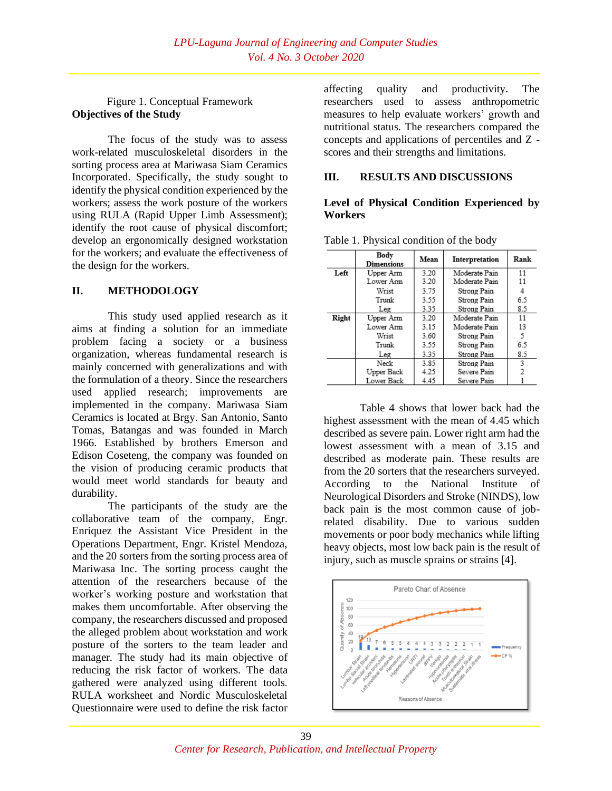### Figure 1. Conceptual Framework **Objectives of the Study**

The focus of the study was to assess work-related musculoskeletal disorders in the sorting process area at Mariwasa Siam Ceramics Incorporated. Specifically, the study sought to identify the physical condition experienced by the workers; assess the work posture of the workers using RULA (Rapid Upper Limb Assessment); identify the root cause of physical discomfort; develop an ergonomically designed workstation for the workers; and evaluate the effectiveness of the design for the workers.

### **II. METHODOLOGY**

This study used applied research as it aims at finding a solution for an immediate problem facing a society or a business organization, whereas fundamental research is mainly concerned with generalizations and with the formulation of a theory. Since the researchers used applied research; improvements are implemented in the company. Mariwasa Siam Ceramics is located at Brgy. San Antonio, Santo Tomas, Batangas and was founded in March 1966. Established by brothers Emerson and Edison Coseteng, the company was founded on the vision of producing ceramic products that would meet world standards for beauty and durability.

The participants of the study are the collaborative team of the company, Engr. Enriquez the Assistant Vice President in the Operations Department, Engr. Kristel Mendoza, and the 20 sorters from the sorting process area of Mariwasa Inc. The sorting process caught the attention of the researchers because of the worker's working posture and workstation that makes them uncomfortable. After observing the company, the researchers discussed and proposed the alleged problem about workstation and work posture of the sorters to the team leader and manager. The study had its main objective of reducing the risk factor of workers. The data gathered were analyzed using different tools. RULA worksheet and Nordic Musculoskeletal Questionnaire were used to define the risk factor

affecting quality and productivity. The researchers used to assess anthropometric measures to help evaluate workers' growth and nutritional status. The researchers compared the concepts and applications of percentiles and Z scores and their strengths and limitations.

### **III. RESULTS AND DISCUSSIONS**

### **Level of Physical Condition Experienced by Workers**

|       | Body<br><b>Dimensions</b> | Mean | Interpretation | Rank |
|-------|---------------------------|------|----------------|------|
| Left  | Upper Arm                 | 3.20 | Moderate Pain  | 11   |
|       | Lower Arm                 | 3.20 | Moderate Pain  | 11   |
|       | Wrist                     | 3.75 | Strong Pain    | 4    |
|       | Trunk                     | 3.55 | Strong Pain    | 6.5  |
|       | Leg                       | 3.35 | Strong Pain    | 8.5  |
| Right | Upper Arm                 | 3.20 | Moderate Pain  | 11   |
|       | Lower Arm                 | 3.15 | Moderate Pain  | 13   |
|       | Wrist                     | 3.60 | Strong Pain    | 5    |
|       | Trunk                     | 3.55 | Strong Pain    | 6.5  |
|       | Leg                       | 3.35 | Strong Pain    | 8.5  |
|       | Neck                      | 3.85 | Strong Pain    | 3    |
|       | Upper Back                | 4.25 | Severe Pain    | 2    |
|       | Lower Back                | 4.45 | Severe Pain    |      |

Table 1. Physical condition of the body

Table 4 shows that lower back had the highest assessment with the mean of 4.45 which described as severe pain. Lower right arm had the lowest assessment with a mean of 3.15 and described as moderate pain. These results are from the 20 sorters that the researchers surveyed. According to the National Institute of Neurological Disorders and Stroke (NINDS), low back pain is the most common cause of jobrelated disability. Due to various sudden movements or poor body mechanics while lifting heavy objects, most low back pain is the result of injury, such as muscle sprains or strains [4].

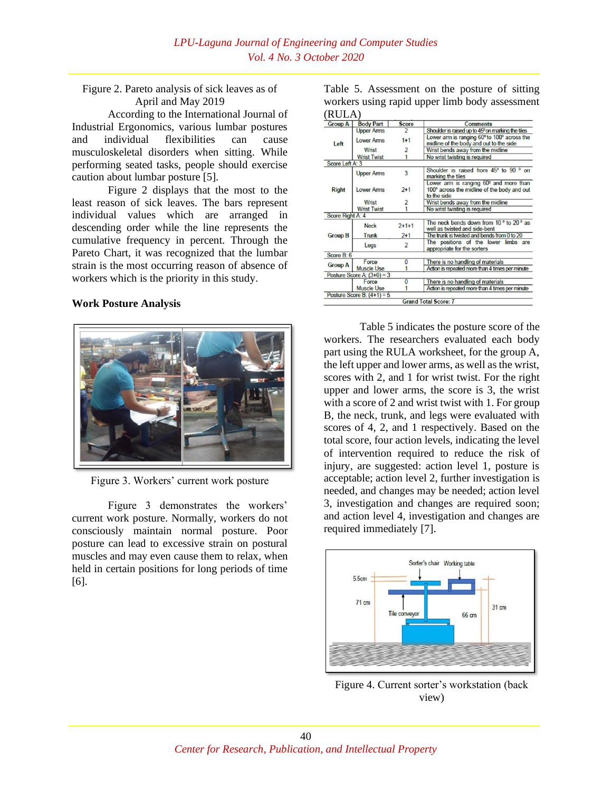### Figure 2. Pareto analysis of sick leaves as of April and May 2019

According to the International Journal of Industrial Ergonomics, various lumbar postures and individual flexibilities can cause musculoskeletal disorders when sitting. While performing seated tasks, people should exercise caution about lumbar posture [5].

Figure 2 displays that the most to the least reason of sick leaves. The bars represent individual values which are arranged in descending order while the line represents the cumulative frequency in percent. Through the Pareto Chart, it was recognized that the lumbar strain is the most occurring reason of absence of workers which is the priority in this study.

#### **Work Posture Analysis**



Figure 3. Workers' current work posture

Figure 3 demonstrates the workers' current work posture. Normally, workers do not consciously maintain normal posture. Poor posture can lead to excessive strain on postural muscles and may even cause them to relax, when held in certain positions for long periods of time [6].

Table 5. Assessment on the posture of sitting workers using rapid upper limb body assessment  $(RIII \Delta)$ 

| <b>Group A</b>   | <b>Body Part</b>             | <b>Score</b>   | <b>Comments</b>                                                                                      |
|------------------|------------------------------|----------------|------------------------------------------------------------------------------------------------------|
|                  | <b>Upper Arms</b>            |                | Shoulder is raised up to 45° on marking the tiles                                                    |
| Left             | <b>Lower Arms</b>            | $1 + 1$        | Lower arm is ranging 60° to 100° across the<br>midline of the body and out to the side               |
|                  | Wrist                        | 2              | Wrist bends away from the midline                                                                    |
|                  | <b>Wrist Twist</b>           |                | No wrist twisting is required                                                                        |
| Score Left A: 3  |                              |                |                                                                                                      |
|                  | <b>Upper Arms</b>            | 3              | Shoulder is raised from 45° to 90 ° on<br>marking the tiles                                          |
| <b>Right</b>     | <b>Lower Arms</b>            | $2 + 1$        | Lower arm is ranging 60° and more than<br>100° across the midline of the body and out<br>to the side |
|                  | Wrist                        | $\overline{2}$ | Wrist bends away from the midline                                                                    |
|                  | <b>Wrist Twist</b>           |                | No wrist twisting is required                                                                        |
| Score Right A: 4 |                              |                |                                                                                                      |
|                  | <b>Neck</b>                  | $2 + 1 + 1$    | The neck bends down from 10° to 20° as<br>well as twisted and side-bent                              |
| <b>Group B</b>   | Trunk                        | $2 + 1$        | The trunk is twisted and bends from 0 to 20                                                          |
|                  | Legs                         | $\overline{2}$ | The positions of the lower limbs are<br>appropriate for the sorters                                  |
| Score B: 6       |                              |                |                                                                                                      |
| <b>Group A</b>   | Force                        | $\bf{0}$       | There is no handling of materials                                                                    |
|                  | <b>Muscle Use</b>            |                | Action is repeated more than 4 times per minute                                                      |
|                  | Posture Score A: $(3+0) = 3$ |                |                                                                                                      |
|                  | Force                        | 0              | There is no handling of materials                                                                    |
|                  | <b>Muscle Use</b>            |                | Action is repeated more than 4 times per minute                                                      |
|                  | Posture Score B: $(4+1) = 5$ |                |                                                                                                      |
|                  |                              |                | <b>Grand Total Score: 7</b>                                                                          |

Table 5 indicates the posture score of the workers. The researchers evaluated each body part using the RULA worksheet, for the group A, the left upper and lower arms, as well as the wrist, scores with 2, and 1 for wrist twist. For the right upper and lower arms, the score is 3, the wrist with a score of 2 and wrist twist with 1. For group B, the neck, trunk, and legs were evaluated with scores of 4, 2, and 1 respectively. Based on the total score, four action levels, indicating the level of intervention required to reduce the risk of injury, are suggested: action level 1, posture is acceptable; action level 2, further investigation is needed, and changes may be needed; action level 3, investigation and changes are required soon; and action level 4, investigation and changes are required immediately [7].



Figure 4. Current sorter's workstation (back view)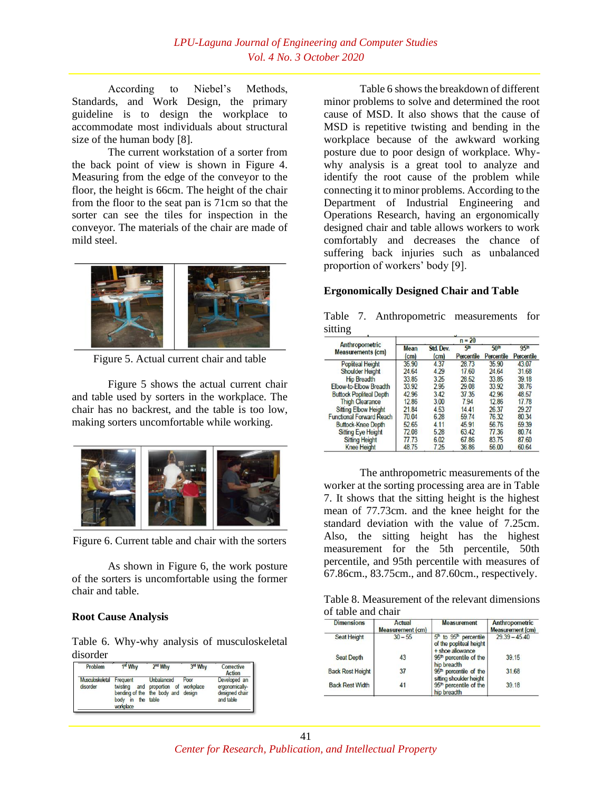According to Niebel's Methods, Standards, and Work Design, the primary guideline is to design the workplace to accommodate most individuals about structural size of the human body [8].

The current workstation of a sorter from the back point of view is shown in Figure 4. Measuring from the edge of the conveyor to the floor, the height is 66cm. The height of the chair from the floor to the seat pan is 71cm so that the sorter can see the tiles for inspection in the conveyor. The materials of the chair are made of mild steel.



Figure 5. Actual current chair and table

Figure 5 shows the actual current chair and table used by sorters in the workplace. The chair has no backrest, and the table is too low, making sorters uncomfortable while working.



Figure 6. Current table and chair with the sorters

As shown in Figure 6, the work posture of the sorters is uncomfortable using the former chair and table.

### **Root Cause Analysis**

Table 6. Why-why analysis of musculoskeletal disorder

| Problem                     | 1 <sup>st</sup> Why                                    | 2 <sup>nd</sup> Why                                                             | 3rd Why | Corrective<br>Action                                          |
|-----------------------------|--------------------------------------------------------|---------------------------------------------------------------------------------|---------|---------------------------------------------------------------|
| Musculoskeletal<br>disorder | Frequent<br>twisting<br>body in the table<br>workplace | Unbalanced<br>and proportion of workplace<br>bending of the the body and design | Poor    | Developed an<br>ergonomically-<br>designed chair<br>and table |

Table 6 shows the breakdown of different minor problems to solve and determined the root cause of MSD. It also shows that the cause of MSD is repetitive twisting and bending in the workplace because of the awkward working posture due to poor design of workplace. Whywhy analysis is a great tool to analyze and identify the root cause of the problem while connecting it to minor problems. According to the Department of Industrial Engineering and Operations Research, having an ergonomically designed chair and table allows workers to work comfortably and decreases the chance of suffering back injuries such as unbalanced proportion of workers' body [9].

# **Ergonomically Designed Chair and Table**

|         | Table 7. Anthropometric measurements for |  |
|---------|------------------------------------------|--|
| sitting |                                          |  |

|                                            |                         |                                | $n = 20$                     |                                |                                |
|--------------------------------------------|-------------------------|--------------------------------|------------------------------|--------------------------------|--------------------------------|
| Anthropometric<br><b>Measurements (cm)</b> | Mean<br>$\mathsf{(cm)}$ | Std. Dev.<br>(c <sub>m</sub> ) | 5 <sup>m</sup><br>Percentile | 50 <sup>th</sup><br>Percentile | 95 <sup>th</sup><br>Percentile |
| <b>Popliteal Height</b>                    | 35.90                   | 4.37                           | 28.73                        | 35.90                          | 43.07                          |
| <b>Shoulder Height</b>                     | 24.64                   | 4.29                           | 17.60                        | 24.64                          | 31.68                          |
| <b>Hip Breadth</b>                         | 33.85                   | 3.25                           | 28.52                        | 33.85                          | 39.18                          |
| Elbow-to-Elbow Breadth                     | 33.92                   | 2.95                           | 29.08                        | 33.92                          | 38.76                          |
| <b>Buttock Popliteal Depth</b>             | 42.96                   | 3.42                           | 37.35                        | 42.96                          | 48.57                          |
| <b>Thigh Clearance</b>                     | 12.86                   | 3.00                           | 7.94                         | 1286                           | 17.78                          |
| <b>Sitting Elbow Height</b>                | 21.84                   | 4.53                           | 1441                         | 26.37                          | 29.27                          |
| <b>Functional Forward Reach</b>            | 70.04                   | 6.28                           | 59.74                        | 76.32                          | 80.34                          |
| <b>Buttock-Knee Depth</b>                  | 52.65                   | 4.11                           | 45.91                        | 56.76                          | 59.39                          |
| <b>Sitting Eye Height</b>                  | 72.08                   | 5.28                           | 63.42                        | 77.36                          | 80.74                          |
| <b>Sitting Height</b>                      | 77.73                   | 6.02                           | 67.86                        | 83.75                          | 87.60                          |
| <b>Knee Height</b>                         | 48.75                   | 7.25                           | 36.86                        | 56.00                          | 60.64                          |

The anthropometric measurements of the worker at the sorting processing area are in Table 7. It shows that the sitting height is the highest mean of 77.73cm. and the knee height for the standard deviation with the value of 7.25cm. Also, the sitting height has the highest measurement for the 5th percentile, 50th percentile, and 95th percentile with measures of 67.86cm., 83.75cm., and 87.60cm., respectively.

Table 8. Measurement of the relevant dimensions of table and chair

| <b>Dimensions</b>       | <b>Actual</b><br><b>Measurement (cm)</b> | <b>Measurement</b>                                                                            | Anthropometric<br><b>Measurement (cm)</b> |
|-------------------------|------------------------------------------|-----------------------------------------------------------------------------------------------|-------------------------------------------|
| Seat Height             | $30 - 55$                                | 5 <sup>th</sup> to 95 <sup>th</sup> percentile<br>of the popliteal height<br>+ shoe allowance | $29.39 - 45.40$                           |
| <b>Seat Depth</b>       | 43                                       | 95 <sup>th</sup> percentile of the<br>hip breadth                                             | 39.15                                     |
| <b>Back Rest Height</b> | 37                                       | 95 <sup>m</sup> percentile of the<br>sitting shoulder height                                  | 31.68                                     |
| <b>Back Rest Width</b>  | 41                                       | 95 <sup>th</sup> percentile of the<br>hip breadth                                             | 39.18                                     |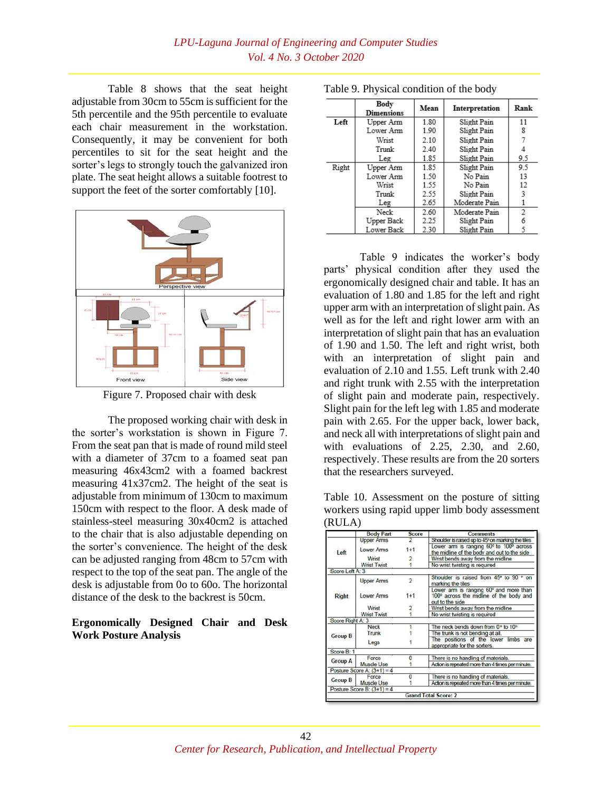Table 8 shows that the seat height adjustable from 30cm to 55cm is sufficient for the 5th percentile and the 95th percentile to evaluate each chair measurement in the workstation. Consequently, it may be convenient for both percentiles to sit for the seat height and the sorter's legs to strongly touch the galvanized iron plate. The seat height allows a suitable footrest to support the feet of the sorter comfortably [10].



Figure 7. Proposed chair with desk

The proposed working chair with desk in the sorter's workstation is shown in Figure 7. From the seat pan that is made of round mild steel with a diameter of 37cm to a foamed seat pan measuring 46x43cm2 with a foamed backrest measuring 41x37cm2. The height of the seat is adjustable from minimum of 130cm to maximum 150cm with respect to the floor. A desk made of stainless-steel measuring 30x40cm2 is attached to the chair that is also adjustable depending on the sorter's convenience. The height of the desk can be adjusted ranging from 48cm to 57cm with respect to the top of the seat pan. The angle of the desk is adjustable from 0o to 60o. The horizontal distance of the desk to the backrest is 50cm.

### **Ergonomically Designed Chair and Desk Work Posture Analysis**

|       | Body<br>Dimensions | Mean | Interpretation | Rank |
|-------|--------------------|------|----------------|------|
| Left  | Upper Arm          | 1.80 | Slight Pain    | 11   |
|       | Lower Arm          | 1.90 | Slight Pain    | 8    |
|       | Wrist              | 2.10 | Slight Pain    |      |
|       | Trunk              | 2.40 | Slight Pain    |      |
|       | Leg                | 1.85 | Slight Pain    | 9.5  |
| Right | Upper Arm          | 1.85 | Slight Pain    | 9.5  |
|       | Lower Arm          | 1.50 | No Pain        | 13   |
|       | Wrist              | 1.55 | No Pain        | 12   |
|       | Trunk              | 2.55 | Slight Pain    | 3    |
|       | Leg                | 2.65 | Moderate Pain  |      |
|       | Neck               | 2.60 | Moderate Pain  | 2    |
|       | Upper Back         | 2.25 | Slight Pain    | 6    |
|       | Lower Back         | 2.30 | Slight Pain    |      |

Table 9. Physical condition of the body

Table 9 indicates the worker's body parts' physical condition after they used the ergonomically designed chair and table. It has an evaluation of 1.80 and 1.85 for the left and right upper arm with an interpretation of slight pain. As well as for the left and right lower arm with an interpretation of slight pain that has an evaluation of 1.90 and 1.50. The left and right wrist, both with an interpretation of slight pain and evaluation of 2.10 and 1.55. Left trunk with 2.40 and right trunk with 2.55 with the interpretation of slight pain and moderate pain, respectively. Slight pain for the left leg with 1.85 and moderate pain with 2.65. For the upper back, lower back, and neck all with interpretations of slight pain and with evaluations of 2.25, 2.30, and 2.60, respectively. These results are from the 20 sorters that the researchers surveyed.

Table 10. Assessment on the posture of sitting workers using rapid upper limb body assessment  $(DIII \Lambda)$ 

|                  | <b>Body Part</b>             | Score          | <b>Comments</b>                                                                                      |  |  |
|------------------|------------------------------|----------------|------------------------------------------------------------------------------------------------------|--|--|
|                  | <b>Upper Arms</b>            |                | Shoulder is raised up to 45° on marking the tiles                                                    |  |  |
| Left             | <b>Lower Arms</b>            | $1 + 1$        | Lower arm is ranging 60° to 100° across<br>the midline of the body and out to the side               |  |  |
|                  | Wrist                        | 2              | Wrist bends away from the midline                                                                    |  |  |
|                  | <b>Wrist Twist</b>           |                | No wrist twisting is required                                                                        |  |  |
| Score Left A: 3  |                              |                |                                                                                                      |  |  |
|                  | <b>Upper Arms</b>            | $\overline{2}$ | Shoulder is raised from 45° to 90 ° on<br>marking the tiles                                          |  |  |
| <b>Right</b>     | <b>Lower Arms</b>            | $1 + 1$        | Lower arm is ranging 60° and more than<br>100° across the midline of the body and<br>out to the side |  |  |
|                  | Wrist                        | 2              | Wrist bends away from the midline                                                                    |  |  |
|                  | <b>Wrist Twist</b>           |                | No wrist twisting is required                                                                        |  |  |
| Score Right A: 3 |                              |                |                                                                                                      |  |  |
|                  | <b>Neck</b>                  |                | The neck bends down from 0° to 10°                                                                   |  |  |
| <b>Group B</b>   | Trunk                        |                | The trunk is not bending at all.                                                                     |  |  |
|                  | Legs                         |                | The positions of the lower limbs are<br>appropriate for the sorters.                                 |  |  |
| Score B: 1       |                              |                |                                                                                                      |  |  |
| <b>Group A</b>   | Force                        | n              | There is no handling of materials.                                                                   |  |  |
|                  | <b>Muscle Use</b>            |                | Action is repeated more than 4 times per minute.                                                     |  |  |
|                  | Posture Score A: $(3+1) = 4$ |                |                                                                                                      |  |  |
|                  | Force                        | n              | There is no handling of materials.                                                                   |  |  |
| <b>Group B</b>   | <b>Muscle Use</b>            |                | Action is repeated more than 4 times per minute.                                                     |  |  |
|                  | Posture Score B: $(3+1) = 4$ |                |                                                                                                      |  |  |
|                  |                              |                | <b>Grand Total Score: 2</b>                                                                          |  |  |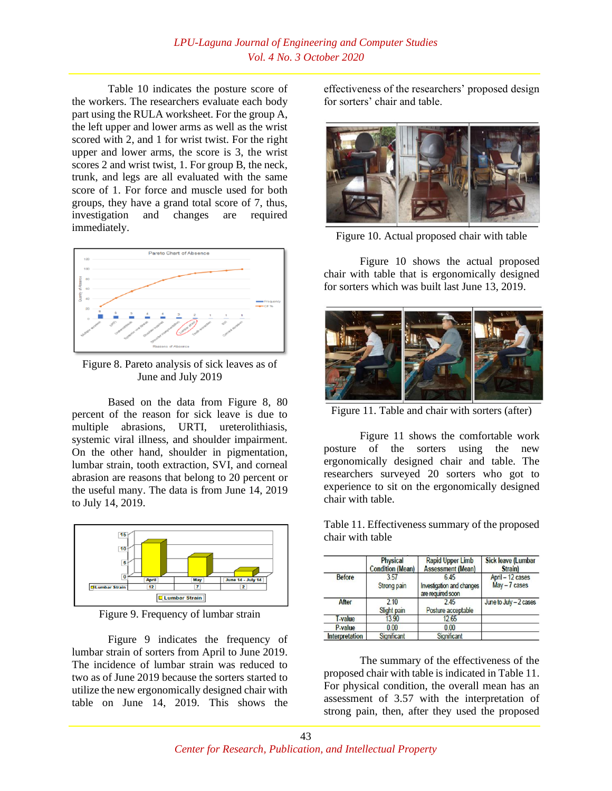Table 10 indicates the posture score of the workers. The researchers evaluate each body part using the RULA worksheet. For the group A, the left upper and lower arms as well as the wrist scored with 2, and 1 for wrist twist. For the right upper and lower arms, the score is 3, the wrist scores 2 and wrist twist, 1. For group B, the neck, trunk, and legs are all evaluated with the same score of 1. For force and muscle used for both groups, they have a grand total score of 7, thus, investigation and changes are required immediately.



Figure 8. Pareto analysis of sick leaves as of June and July 2019

Based on the data from Figure 8, 80 percent of the reason for sick leave is due to multiple abrasions, URTI, ureterolithiasis, systemic viral illness, and shoulder impairment. On the other hand, shoulder in pigmentation, lumbar strain, tooth extraction, SVI, and corneal abrasion are reasons that belong to 20 percent or the useful many. The data is from June 14, 2019 to July 14, 2019.



Figure 9. Frequency of lumbar strain

Figure 9 indicates the frequency of lumbar strain of sorters from April to June 2019. The incidence of lumbar strain was reduced to two as of June 2019 because the sorters started to utilize the new ergonomically designed chair with table on June 14, 2019. This shows the effectiveness of the researchers' proposed design for sorters' chair and table.



Figure 10. Actual proposed chair with table

Figure 10 shows the actual proposed chair with table that is ergonomically designed for sorters which was built last June 13, 2019.



Figure 11. Table and chair with sorters (after)

Figure 11 shows the comfortable work posture of the sorters using the new ergonomically designed chair and table. The researchers surveyed 20 sorters who got to experience to sit on the ergonomically designed chair with table.

Table 11. Effectiveness summary of the proposed chair with table

|                | <b>Physical</b><br><b>Condition (Mean)</b> | <b>Rapid Upper Limb</b><br><b>Assessment (Mean)</b>           | <b>Sick leave (Lumbar</b><br><b>Strain</b> ) |  |
|----------------|--------------------------------------------|---------------------------------------------------------------|----------------------------------------------|--|
| <b>Before</b>  | 3.57<br>Strong pain                        | 6.45<br><b>Investigation and changes</b><br>are required soon | April - 12 cases<br>$May - 7 cases$          |  |
| After          | 210<br>Slight pain                         | 245<br>Posture acceptable                                     | June to July - 2 cases                       |  |
| <b>T-value</b> | 13.90                                      | 12.65                                                         |                                              |  |
| P-value        | 0.00                                       | 0.00                                                          |                                              |  |
| Interpretation | Significant                                | Significant                                                   |                                              |  |

The summary of the effectiveness of the proposed chair with table is indicated in Table 11. For physical condition, the overall mean has an assessment of 3.57 with the interpretation of strong pain, then, after they used the proposed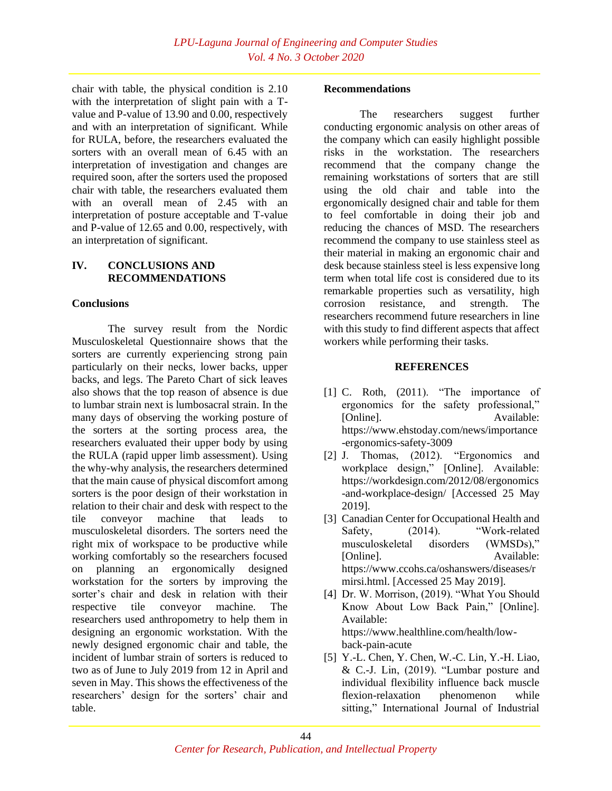chair with table, the physical condition is 2.10 with the interpretation of slight pain with a Tvalue and P-value of 13.90 and 0.00, respectively and with an interpretation of significant. While for RULA, before, the researchers evaluated the sorters with an overall mean of 6.45 with an interpretation of investigation and changes are required soon, after the sorters used the proposed chair with table, the researchers evaluated them with an overall mean of 2.45 with an interpretation of posture acceptable and T-value and P-value of 12.65 and 0.00, respectively, with an interpretation of significant.

### **IV. CONCLUSIONS AND RECOMMENDATIONS**

# **Conclusions**

The survey result from the Nordic Musculoskeletal Questionnaire shows that the sorters are currently experiencing strong pain particularly on their necks, lower backs, upper backs, and legs. The Pareto Chart of sick leaves also shows that the top reason of absence is due to lumbar strain next is lumbosacral strain. In the many days of observing the working posture of the sorters at the sorting process area, the researchers evaluated their upper body by using the RULA (rapid upper limb assessment). Using the why-why analysis, the researchers determined that the main cause of physical discomfort among sorters is the poor design of their workstation in relation to their chair and desk with respect to the tile conveyor machine that leads to musculoskeletal disorders. The sorters need the right mix of workspace to be productive while working comfortably so the researchers focused on planning an ergonomically designed workstation for the sorters by improving the sorter's chair and desk in relation with their respective tile conveyor machine. The researchers used anthropometry to help them in designing an ergonomic workstation. With the newly designed ergonomic chair and table, the incident of lumbar strain of sorters is reduced to two as of June to July 2019 from 12 in April and seven in May. This shows the effectiveness of the researchers' design for the sorters' chair and table.

### **Recommendations**

The researchers suggest further conducting ergonomic analysis on other areas of the company which can easily highlight possible risks in the workstation. The researchers recommend that the company change the remaining workstations of sorters that are still using the old chair and table into the ergonomically designed chair and table for them to feel comfortable in doing their job and reducing the chances of MSD. The researchers recommend the company to use stainless steel as their material in making an ergonomic chair and desk because stainless steel is less expensive long term when total life cost is considered due to its remarkable properties such as versatility, high corrosion resistance, and strength. The researchers recommend future researchers in line with this study to find different aspects that affect workers while performing their tasks.

# **REFERENCES**

- [1] C. Roth, (2011). "The importance of ergonomics for the safety professional," [Online]. Available: https://www.ehstoday.com/news/importance -ergonomics-safety-3009
- [2] J. Thomas, (2012). "Ergonomics and workplace design," [Online]. Available: https://workdesign.com/2012/08/ergonomics -and-workplace-design/ [Accessed 25 May 2019].
- [3] Canadian Center for Occupational Health and Safety. (2014). "Work-related musculoskeletal disorders (WMSDs)," [Online]. Available: https://www.ccohs.ca/oshanswers/diseases/r mirsi.html. [Accessed 25 May 2019].
- [4] Dr. W. Morrison, (2019). "What You Should Know About Low Back Pain," [Online]. Available: https://www.healthline.com/health/lowback-pain-acute
- [5] Y.-L. Chen, Y. Chen, W.-C. Lin, Y.-H. Liao, & C.-J. Lin, (2019). "Lumbar posture and individual flexibility influence back muscle flexion-relaxation phenomenon while sitting," International Journal of Industrial